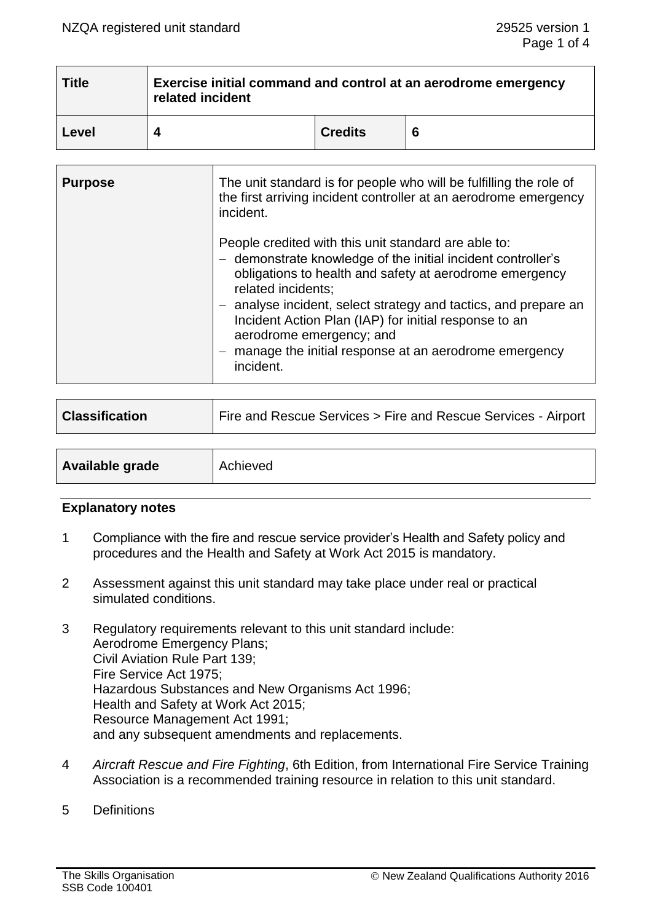| <b>Title</b> | Exercise initial command and control at an aerodrome emergency<br>related incident |                |   |
|--------------|------------------------------------------------------------------------------------|----------------|---|
| Level        |                                                                                    | <b>Credits</b> | 6 |

| <b>Purpose</b> | The unit standard is for people who will be fulfilling the role of<br>the first arriving incident controller at an aerodrome emergency<br>incident.                                                                                                                                                                                                                                                                                 |
|----------------|-------------------------------------------------------------------------------------------------------------------------------------------------------------------------------------------------------------------------------------------------------------------------------------------------------------------------------------------------------------------------------------------------------------------------------------|
|                | People credited with this unit standard are able to:<br>- demonstrate knowledge of the initial incident controller's<br>obligations to health and safety at aerodrome emergency<br>related incidents;<br>- analyse incident, select strategy and tactics, and prepare an<br>Incident Action Plan (IAP) for initial response to an<br>aerodrome emergency; and<br>manage the initial response at an aerodrome emergency<br>incident. |

| <b>Classification</b> | Fire and Rescue Services > Fire and Rescue Services - Airport |
|-----------------------|---------------------------------------------------------------|
|                       |                                                               |
| Available grade       | Achieved                                                      |

#### **Explanatory notes**

- 1 Compliance with the fire and rescue service provider's Health and Safety policy and procedures and the Health and Safety at Work Act 2015 is mandatory.
- 2 Assessment against this unit standard may take place under real or practical simulated conditions.
- 3 Regulatory requirements relevant to this unit standard include: Aerodrome Emergency Plans; Civil Aviation Rule Part 139; Fire Service Act 1975; Hazardous Substances and New Organisms Act 1996; Health and Safety at Work Act 2015; Resource Management Act 1991; and any subsequent amendments and replacements.
- 4 *Aircraft Rescue and Fire Fighting*, 6th Edition, from International Fire Service Training Association is a recommended training resource in relation to this unit standard.
- 5 Definitions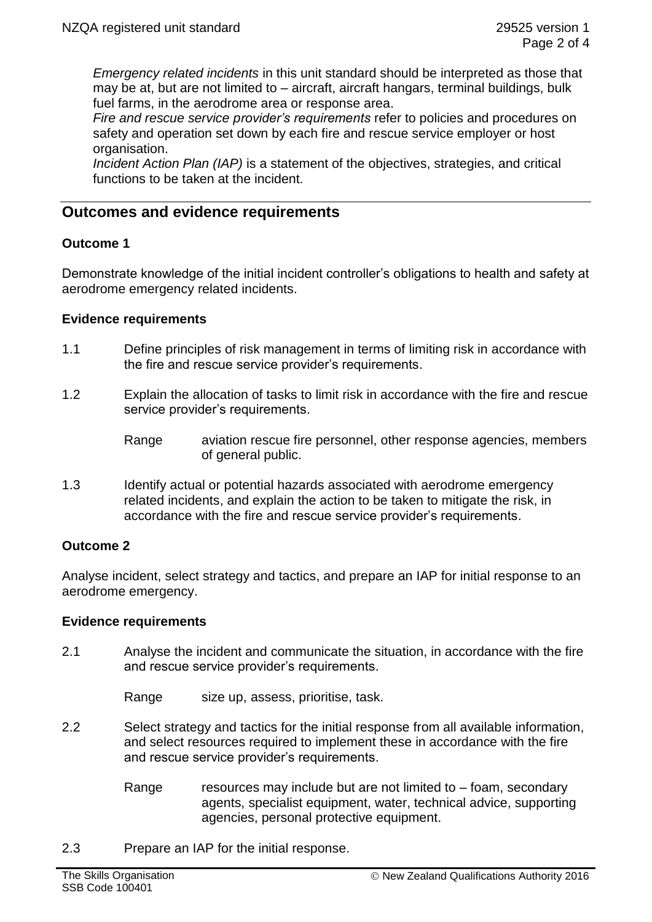*Emergency related incidents* in this unit standard should be interpreted as those that may be at, but are not limited to – aircraft, aircraft hangars, terminal buildings, bulk fuel farms, in the aerodrome area or response area.

*Fire and rescue service provider's requirements* refer to policies and procedures on safety and operation set down by each fire and rescue service employer or host organisation.

*Incident Action Plan (IAP)* is a statement of the objectives, strategies, and critical functions to be taken at the incident.

# **Outcomes and evidence requirements**

## **Outcome 1**

Demonstrate knowledge of the initial incident controller's obligations to health and safety at aerodrome emergency related incidents.

## **Evidence requirements**

- 1.1 Define principles of risk management in terms of limiting risk in accordance with the fire and rescue service provider's requirements.
- 1.2 Explain the allocation of tasks to limit risk in accordance with the fire and rescue service provider's requirements.
	- Range aviation rescue fire personnel, other response agencies, members of general public.
- 1.3 Identify actual or potential hazards associated with aerodrome emergency related incidents, and explain the action to be taken to mitigate the risk, in accordance with the fire and rescue service provider's requirements.

## **Outcome 2**

Analyse incident, select strategy and tactics, and prepare an IAP for initial response to an aerodrome emergency.

## **Evidence requirements**

2.1 Analyse the incident and communicate the situation, in accordance with the fire and rescue service provider's requirements.

Range size up, assess, prioritise, task.

- 2.2 Select strategy and tactics for the initial response from all available information, and select resources required to implement these in accordance with the fire and rescue service provider's requirements.
	- Range resources may include but are not limited to  $-$  foam, secondary agents, specialist equipment, water, technical advice, supporting agencies, personal protective equipment.
- 2.3 Prepare an IAP for the initial response.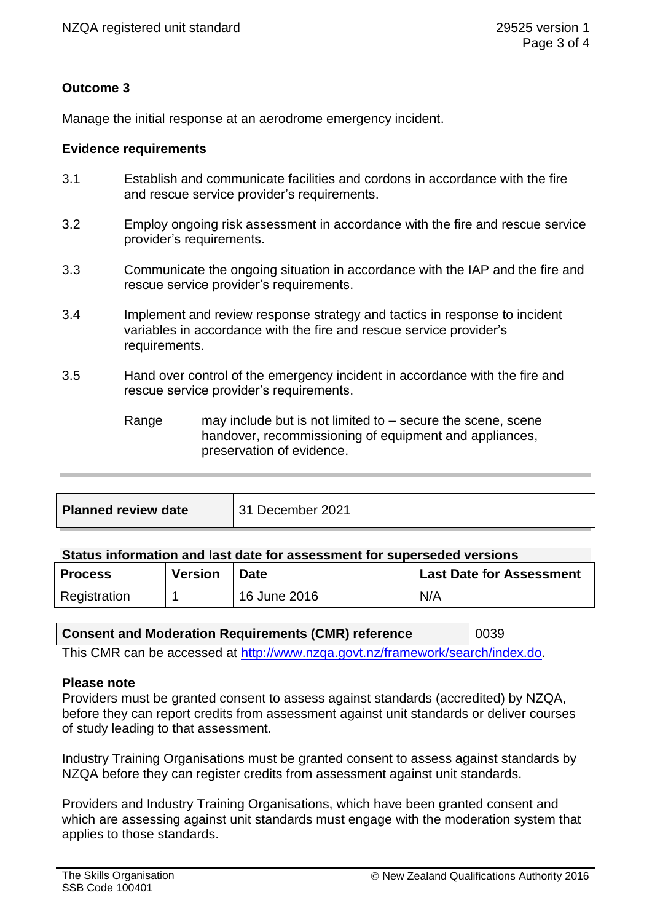# **Outcome 3**

Manage the initial response at an aerodrome emergency incident.

### **Evidence requirements**

- 3.1 Establish and communicate facilities and cordons in accordance with the fire and rescue service provider's requirements.
- 3.2 Employ ongoing risk assessment in accordance with the fire and rescue service provider's requirements.
- 3.3 Communicate the ongoing situation in accordance with the IAP and the fire and rescue service provider's requirements.
- 3.4 Implement and review response strategy and tactics in response to incident variables in accordance with the fire and rescue service provider's requirements.
- 3.5 Hand over control of the emergency incident in accordance with the fire and rescue service provider's requirements.
	- Range may include but is not limited to  $-$  secure the scene, scene handover, recommissioning of equipment and appliances, preservation of evidence.

| <b>Planned review date</b> | 31 December 2021 |
|----------------------------|------------------|
|                            |                  |

### **Status information and last date for assessment for superseded versions**

| <b>Process</b> | <b>Version</b> | <b>Date</b>  | <b>Last Date for Assessment</b> |
|----------------|----------------|--------------|---------------------------------|
| Registration   |                | 16 June 2016 | N/A                             |

| <b>Consent and Moderation Requirements (CMR) reference</b>                     | 0039 |  |
|--------------------------------------------------------------------------------|------|--|
| This CMP can be accessed at http://www.pzga.govt.pz/framowerk/search/index.do. |      |  |

This CMR can be accessed at [http://www.nzqa.govt.nz/framework/search/index.do.](http://www.nzqa.govt.nz/framework/search/index.do)

#### **Please note**

Providers must be granted consent to assess against standards (accredited) by NZQA, before they can report credits from assessment against unit standards or deliver courses of study leading to that assessment.

Industry Training Organisations must be granted consent to assess against standards by NZQA before they can register credits from assessment against unit standards.

Providers and Industry Training Organisations, which have been granted consent and which are assessing against unit standards must engage with the moderation system that applies to those standards.